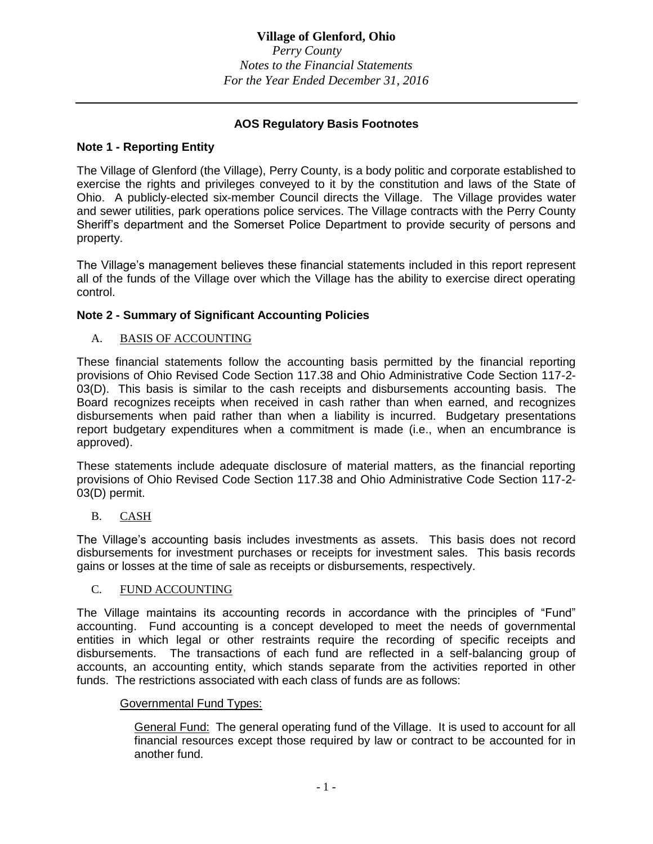# **Village of Glenford, Ohio**

*Perry County Notes to the Financial Statements For the Year Ended December 31, 2016*

## **AOS Regulatory Basis Footnotes**

## **Note 1 - Reporting Entity**

The Village of Glenford (the Village), Perry County, is a body politic and corporate established to exercise the rights and privileges conveyed to it by the constitution and laws of the State of Ohio. A publicly-elected six-member Council directs the Village. The Village provides water and sewer utilities, park operations police services. The Village contracts with the Perry County Sheriff's department and the Somerset Police Department to provide security of persons and property.

The Village's management believes these financial statements included in this report represent all of the funds of the Village over which the Village has the ability to exercise direct operating control.

## **Note 2 - Summary of Significant Accounting Policies**

A. BASIS OF ACCOUNTING

These financial statements follow the accounting basis permitted by the financial reporting provisions of Ohio Revised Code Section 117.38 and Ohio Administrative Code Section 117-2- 03(D). This basis is similar to the cash receipts and disbursements accounting basis. The Board recognizes receipts when received in cash rather than when earned, and recognizes disbursements when paid rather than when a liability is incurred. Budgetary presentations report budgetary expenditures when a commitment is made (i.e., when an encumbrance is approved).

These statements include adequate disclosure of material matters, as the financial reporting provisions of Ohio Revised Code Section 117.38 and Ohio Administrative Code Section 117-2- 03(D) permit.

B. CASH

The Village's accounting basis includes investments as assets. This basis does not record disbursements for investment purchases or receipts for investment sales. This basis records gains or losses at the time of sale as receipts or disbursements, respectively.

## C. FUND ACCOUNTING

The Village maintains its accounting records in accordance with the principles of "Fund" accounting. Fund accounting is a concept developed to meet the needs of governmental entities in which legal or other restraints require the recording of specific receipts and disbursements. The transactions of each fund are reflected in a self-balancing group of accounts, an accounting entity, which stands separate from the activities reported in other funds. The restrictions associated with each class of funds are as follows:

## Governmental Fund Types:

General Fund: The general operating fund of the Village. It is used to account for all financial resources except those required by law or contract to be accounted for in another fund.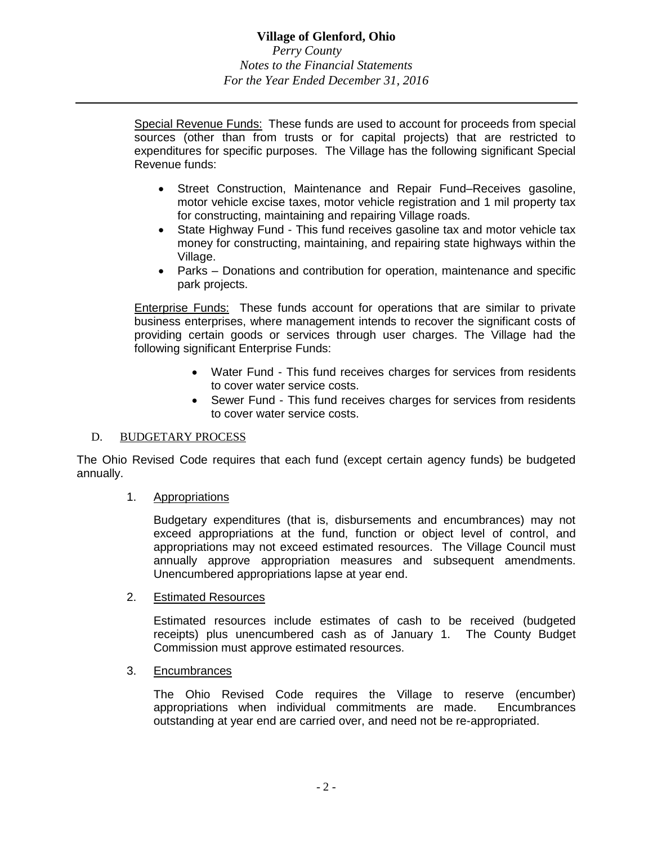Special Revenue Funds: These funds are used to account for proceeds from special sources (other than from trusts or for capital projects) that are restricted to expenditures for specific purposes. The Village has the following significant Special Revenue funds:

- Street Construction, Maintenance and Repair Fund–Receives gasoline, motor vehicle excise taxes, motor vehicle registration and 1 mil property tax for constructing, maintaining and repairing Village roads.
- State Highway Fund This fund receives gasoline tax and motor vehicle tax money for constructing, maintaining, and repairing state highways within the Village.
- Parks Donations and contribution for operation, maintenance and specific park projects.

Enterprise Funds: These funds account for operations that are similar to private business enterprises, where management intends to recover the significant costs of providing certain goods or services through user charges. The Village had the following significant Enterprise Funds:

- Water Fund This fund receives charges for services from residents to cover water service costs.
- Sewer Fund This fund receives charges for services from residents to cover water service costs.

## D. BUDGETARY PROCESS

The Ohio Revised Code requires that each fund (except certain agency funds) be budgeted annually.

#### 1. Appropriations

Budgetary expenditures (that is, disbursements and encumbrances) may not exceed appropriations at the fund, function or object level of control, and appropriations may not exceed estimated resources. The Village Council must annually approve appropriation measures and subsequent amendments. Unencumbered appropriations lapse at year end.

#### 2. Estimated Resources

Estimated resources include estimates of cash to be received (budgeted receipts) plus unencumbered cash as of January 1. The County Budget Commission must approve estimated resources.

## 3. Encumbrances

The Ohio Revised Code requires the Village to reserve (encumber) appropriations when individual commitments are made. Encumbrances outstanding at year end are carried over, and need not be re-appropriated.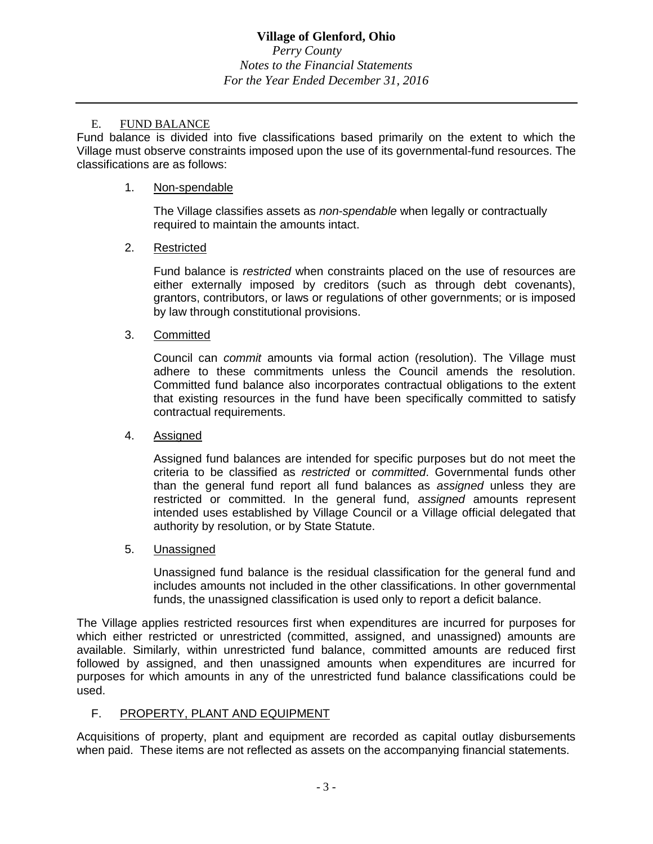# **Village of Glenford, Ohio**

*Perry County Notes to the Financial Statements For the Year Ended December 31, 2016*

### E. FUND BALANCE

Fund balance is divided into five classifications based primarily on the extent to which the Village must observe constraints imposed upon the use of its governmental-fund resources. The classifications are as follows:

### 1. Non-spendable

The Village classifies assets as *non-spendable* when legally or contractually required to maintain the amounts intact.

## 2. Restricted

Fund balance is *restricted* when constraints placed on the use of resources are either externally imposed by creditors (such as through debt covenants), grantors, contributors, or laws or regulations of other governments; or is imposed by law through constitutional provisions.

### 3. Committed

Council can *commit* amounts via formal action (resolution). The Village must adhere to these commitments unless the Council amends the resolution. Committed fund balance also incorporates contractual obligations to the extent that existing resources in the fund have been specifically committed to satisfy contractual requirements.

#### 4. Assigned

Assigned fund balances are intended for specific purposes but do not meet the criteria to be classified as *restricted* or *committed*. Governmental funds other than the general fund report all fund balances as *assigned* unless they are restricted or committed. In the general fund, *assigned* amounts represent intended uses established by Village Council or a Village official delegated that authority by resolution, or by State Statute.

## 5. Unassigned

Unassigned fund balance is the residual classification for the general fund and includes amounts not included in the other classifications. In other governmental funds, the unassigned classification is used only to report a deficit balance.

The Village applies restricted resources first when expenditures are incurred for purposes for which either restricted or unrestricted (committed, assigned, and unassigned) amounts are available. Similarly, within unrestricted fund balance, committed amounts are reduced first followed by assigned, and then unassigned amounts when expenditures are incurred for purposes for which amounts in any of the unrestricted fund balance classifications could be used.

## F. PROPERTY, PLANT AND EQUIPMENT

Acquisitions of property, plant and equipment are recorded as capital outlay disbursements when paid. These items are not reflected as assets on the accompanying financial statements.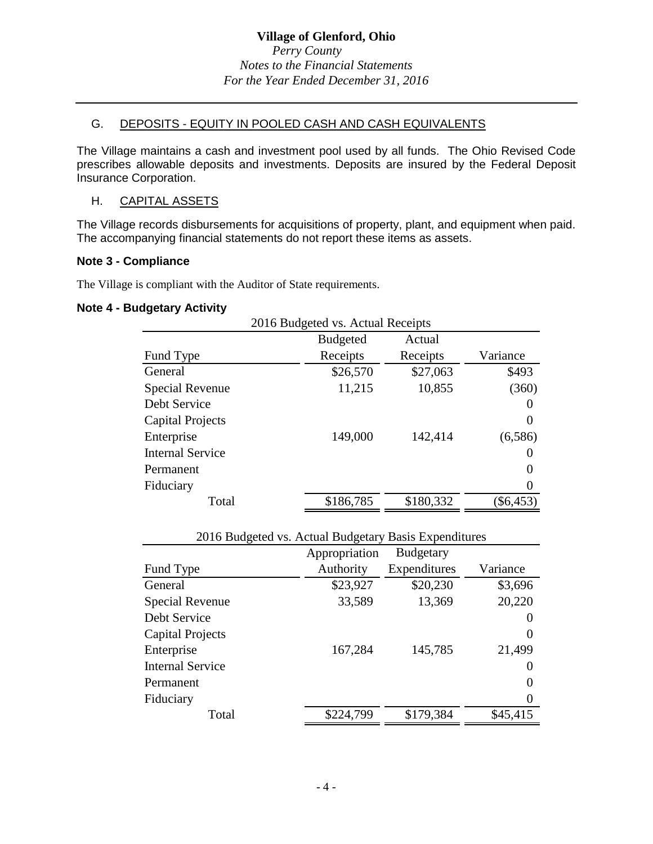## G. DEPOSITS - EQUITY IN POOLED CASH AND CASH EQUIVALENTS

The Village maintains a cash and investment pool used by all funds. The Ohio Revised Code prescribes allowable deposits and investments. Deposits are insured by the Federal Deposit Insurance Corporation.

## H. CAPITAL ASSETS

The Village records disbursements for acquisitions of property, plant, and equipment when paid. The accompanying financial statements do not report these items as assets.

## **Note 3 - Compliance**

The Village is compliant with the Auditor of State requirements.

### **Note 4 - Budgetary Activity**

| 2016 Budgeted vs. Actual Receipts |                 |           |          |  |
|-----------------------------------|-----------------|-----------|----------|--|
|                                   | <b>Budgeted</b> | Actual    |          |  |
| Fund Type                         | Receipts        | Receipts  | Variance |  |
| General                           | \$26,570        | \$27,063  | \$493    |  |
| Special Revenue                   | 11,215          | 10,855    | (360)    |  |
| Debt Service                      |                 |           |          |  |
| <b>Capital Projects</b>           |                 |           | $\Omega$ |  |
| Enterprise                        | 149,000         | 142,414   | (6,586)  |  |
| <b>Internal Service</b>           |                 |           |          |  |
| Permanent                         |                 |           |          |  |
| Fiduciary                         |                 |           |          |  |
| Total                             | \$186,785       | \$180,332 | \$6,453) |  |

| 2016 Budgeted vs. Actual Budgetary Basis Expenditures |               |                  |          |
|-------------------------------------------------------|---------------|------------------|----------|
|                                                       | Appropriation | <b>Budgetary</b> |          |
| Fund Type                                             | Authority     | Expenditures     | Variance |
| General                                               | \$23,927      | \$20,230         | \$3,696  |
| Special Revenue                                       | 33,589        | 13,369           | 20,220   |
| Debt Service                                          |               |                  |          |
| <b>Capital Projects</b>                               |               |                  | 0        |
| Enterprise                                            | 167,284       | 145,785          | 21,499   |
| <b>Internal Service</b>                               |               |                  |          |
| Permanent                                             |               |                  |          |
| Fiduciary                                             |               |                  |          |
| Total                                                 | \$224,799     | \$179,384        | \$45,415 |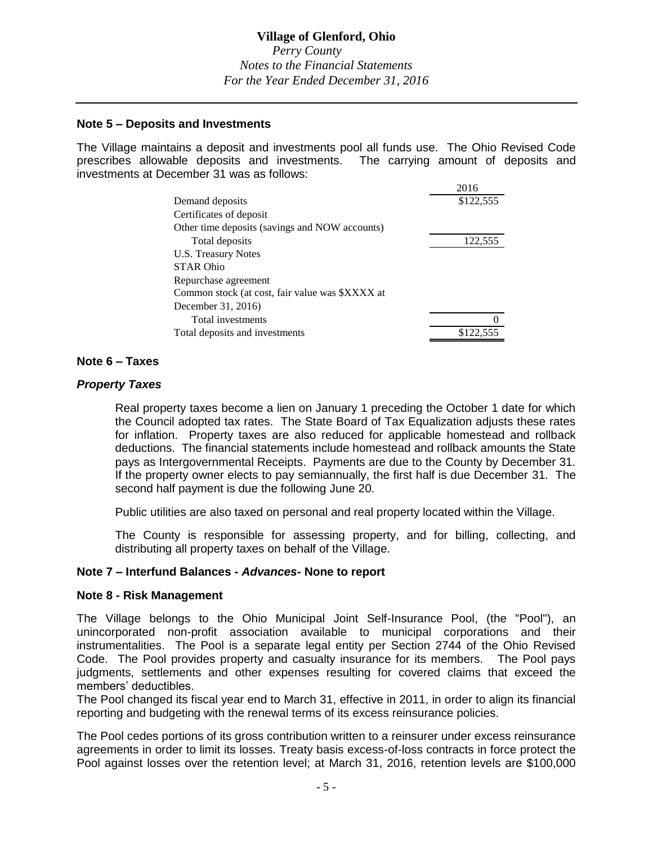# **Village of Glenford, Ohio**

*Perry County Notes to the Financial Statements For the Year Ended December 31, 2016*

### **Note 5 – Deposits and Investments**

The Village maintains a deposit and investments pool all funds use. The Ohio Revised Code prescribes allowable deposits and investments. The carrying amount of deposits and investments at December 31 was as follows:  $2012$ 

|                                                 | 2016      |
|-------------------------------------------------|-----------|
| Demand deposits                                 | \$122,555 |
| Certificates of deposit                         |           |
| Other time deposits (savings and NOW accounts)  |           |
| Total deposits                                  | 122,555   |
| U.S. Treasury Notes                             |           |
| <b>STAR Ohio</b>                                |           |
| Repurchase agreement                            |           |
| Common stock (at cost, fair value was \$XXXX at |           |
| December 31, 2016)                              |           |
| Total investments                               |           |
| Total deposits and investments                  | \$122.555 |

#### **Note 6 – Taxes**

### *Property Taxes*

Real property taxes become a lien on January 1 preceding the October 1 date for which the Council adopted tax rates. The State Board of Tax Equalization adjusts these rates for inflation. Property taxes are also reduced for applicable homestead and rollback deductions. The financial statements include homestead and rollback amounts the State pays as Intergovernmental Receipts. Payments are due to the County by December 31. If the property owner elects to pay semiannually, the first half is due December 31. The second half payment is due the following June 20.

Public utilities are also taxed on personal and real property located within the Village.

The County is responsible for assessing property, and for billing, collecting, and distributing all property taxes on behalf of the Village.

#### **Note 7 – Interfund Balances -** *Advances-* **None to report**

#### **Note 8 - Risk Management**

The Village belongs to the Ohio Municipal Joint Self-Insurance Pool, (the "Pool"), an unincorporated non-profit association available to municipal corporations and their instrumentalities. The Pool is a separate legal entity per Section 2744 of the Ohio Revised Code. The Pool provides property and casualty insurance for its members. The Pool pays judgments, settlements and other expenses resulting for covered claims that exceed the members' deductibles.

The Pool changed its fiscal year end to March 31, effective in 2011, in order to align its financial reporting and budgeting with the renewal terms of its excess reinsurance policies.

The Pool cedes portions of its gross contribution written to a reinsurer under excess reinsurance agreements in order to limit its losses. Treaty basis excess-of-loss contracts in force protect the Pool against losses over the retention level; at March 31, 2016, retention levels are \$100,000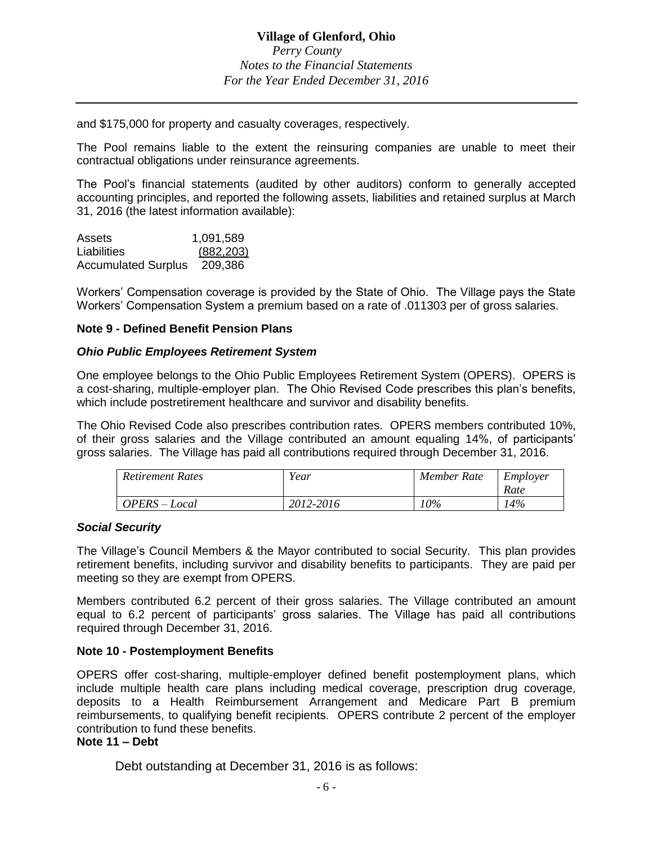and \$175,000 for property and casualty coverages, respectively.

The Pool remains liable to the extent the reinsuring companies are unable to meet their contractual obligations under reinsurance agreements.

The Pool's financial statements (audited by other auditors) conform to generally accepted accounting principles, and reported the following assets, liabilities and retained surplus at March 31, 2016 (the latest information available):

| Assets                     | 1,091,589  |
|----------------------------|------------|
| Liabilities                | (882, 203) |
| <b>Accumulated Surplus</b> | 209.386    |

Workers' Compensation coverage is provided by the State of Ohio. The Village pays the State Workers' Compensation System a premium based on a rate of .011303 per of gross salaries.

#### **Note 9 - Defined Benefit Pension Plans**

#### *Ohio Public Employees Retirement System*

One employee belongs to the Ohio Public Employees Retirement System (OPERS). OPERS is a cost-sharing, multiple-employer plan. The Ohio Revised Code prescribes this plan's benefits, which include postretirement healthcare and survivor and disability benefits.

The Ohio Revised Code also prescribes contribution rates. OPERS members contributed 10%, of their gross salaries and the Village contributed an amount equaling 14%, of participants' gross salaries. The Village has paid all contributions required through December 31, 2016.

| Retirement Rates | Year      | Member Rate | Employer<br>Rate |
|------------------|-----------|-------------|------------------|
| OPERS – Local    | 2012-2016 | 10%         | 14%              |

#### *Social Security*

The Village's Council Members & the Mayor contributed to social Security. This plan provides retirement benefits, including survivor and disability benefits to participants. They are paid per meeting so they are exempt from OPERS.

Members contributed 6.2 percent of their gross salaries. The Village contributed an amount equal to 6.2 percent of participants' gross salaries. The Village has paid all contributions required through December 31, 2016.

#### **Note 10 - Postemployment Benefits**

OPERS offer cost-sharing, multiple-employer defined benefit postemployment plans, which include multiple health care plans including medical coverage, prescription drug coverage, deposits to a Health Reimbursement Arrangement and Medicare Part B premium reimbursements, to qualifying benefit recipients. OPERS contribute 2 percent of the employer contribution to fund these benefits.

#### **Note 11 – Debt**

Debt outstanding at December 31, 2016 is as follows: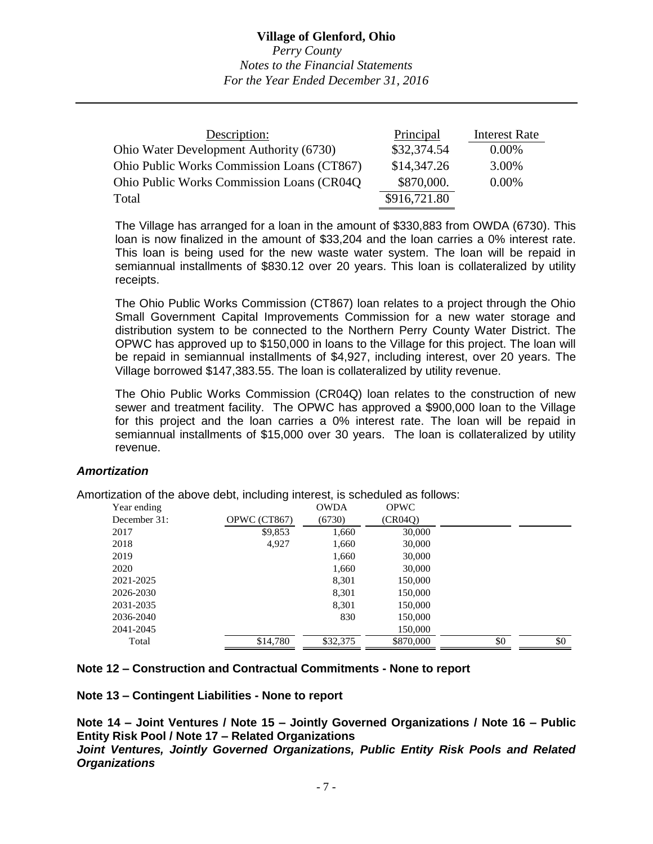| Description:                               | Principal    | <b>Interest Rate</b> |
|--------------------------------------------|--------------|----------------------|
| Ohio Water Development Authority (6730)    | \$32,374.54  | $0.00\%$             |
| Ohio Public Works Commission Loans (CT867) | \$14,347.26  | 3.00%                |
| Ohio Public Works Commission Loans (CR04Q) | \$870,000.   | $0.00\%$             |
| Total                                      | \$916,721.80 |                      |

The Village has arranged for a loan in the amount of \$330,883 from OWDA (6730). This loan is now finalized in the amount of \$33,204 and the loan carries a 0% interest rate. This loan is being used for the new waste water system. The loan will be repaid in semiannual installments of \$830.12 over 20 years. This loan is collateralized by utility receipts.

The Ohio Public Works Commission (CT867) loan relates to a project through the Ohio Small Government Capital Improvements Commission for a new water storage and distribution system to be connected to the Northern Perry County Water District. The OPWC has approved up to \$150,000 in loans to the Village for this project. The loan will be repaid in semiannual installments of \$4,927, including interest, over 20 years. The Village borrowed \$147,383.55. The loan is collateralized by utility revenue.

The Ohio Public Works Commission (CR04Q) loan relates to the construction of new sewer and treatment facility. The OPWC has approved a \$900,000 loan to the Village for this project and the loan carries a 0% interest rate. The loan will be repaid in semiannual installments of \$15,000 over 30 years. The loan is collateralized by utility revenue.

#### *Amortization*

Amortization of the above debt, including interest, is scheduled as follows:

| Year ending  |              | <b>OWDA</b> | <b>OPWC</b> |     |     |
|--------------|--------------|-------------|-------------|-----|-----|
| December 31: | OPWC (CT867) | (6730)      | (CR04O)     |     |     |
| 2017         | \$9,853      | 1,660       | 30,000      |     |     |
| 2018         | 4,927        | 1,660       | 30,000      |     |     |
| 2019         |              | 1,660       | 30,000      |     |     |
| 2020         |              | 1,660       | 30,000      |     |     |
| 2021-2025    |              | 8,301       | 150,000     |     |     |
| 2026-2030    |              | 8,301       | 150,000     |     |     |
| 2031-2035    |              | 8,301       | 150,000     |     |     |
| 2036-2040    |              | 830         | 150,000     |     |     |
| 2041-2045    |              |             | 150,000     |     |     |
| Total        | \$14,780     | \$32,375    | \$870,000   | \$0 | \$0 |

#### **Note 12 – Construction and Contractual Commitments - None to report**

**Note 13 – Contingent Liabilities - None to report**

**Note 14 – Joint Ventures / Note 15 – Jointly Governed Organizations / Note 16 – Public Entity Risk Pool / Note 17 – Related Organizations**

*Joint Ventures, Jointly Governed Organizations, Public Entity Risk Pools and Related Organizations*